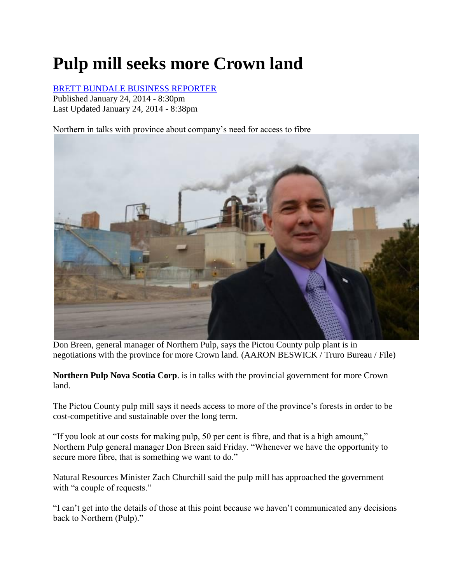## **Pulp mill seeks more Crown land**

## [BRETT BUNDALE BUSINESS REPORTER](http://thechronicleherald.ca/author/brett-bundale-business-reporter-0)

Published January 24, 2014 - 8:30pm Last Updated January 24, 2014 - 8:38pm

Northern in talks with province about company's need for access to fibre



Don Breen, general manager of Northern Pulp, says the Pictou County pulp plant is in negotiations with the province for more Crown land. (AARON BESWICK / Truro Bureau / File)

**Northern Pulp Nova Scotia Corp**. is in talks with the provincial government for more Crown land.

The Pictou County pulp mill says it needs access to more of the province's forests in order to be cost-competitive and sustainable over the long term.

"If you look at our costs for making pulp, 50 per cent is fibre, and that is a high amount," Northern Pulp general manager Don Breen said Friday. "Whenever we have the opportunity to secure more fibre, that is something we want to do."

Natural Resources Minister Zach Churchill said the pulp mill has approached the government with "a couple of requests."

"I can't get into the details of those at this point because we haven't communicated any decisions back to Northern (Pulp)."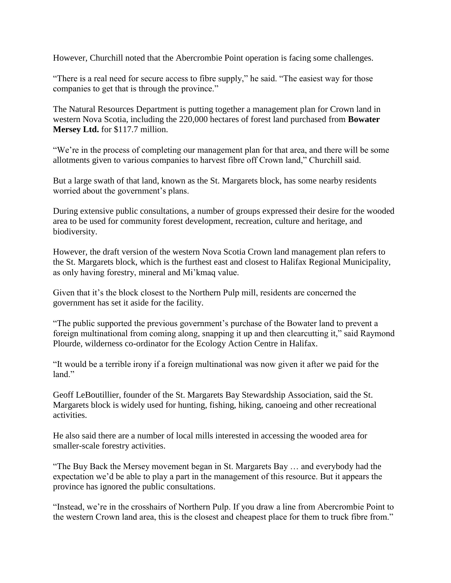However, Churchill noted that the Abercrombie Point operation is facing some challenges.

"There is a real need for secure access to fibre supply," he said. "The easiest way for those companies to get that is through the province."

The Natural Resources Department is putting together a management plan for Crown land in western Nova Scotia, including the 220,000 hectares of forest land purchased from **Bowater Mersey Ltd.** for \$117.7 million.

"We're in the process of completing our management plan for that area, and there will be some allotments given to various companies to harvest fibre off Crown land," Churchill said.

But a large swath of that land, known as the St. Margarets block, has some nearby residents worried about the government's plans.

During extensive public consultations, a number of groups expressed their desire for the wooded area to be used for community forest development, recreation, culture and heritage, and biodiversity.

However, the draft version of the western Nova Scotia Crown land management plan refers to the St. Margarets block, which is the furthest east and closest to Halifax Regional Municipality, as only having forestry, mineral and Mi'kmaq value.

Given that it's the block closest to the Northern Pulp mill, residents are concerned the government has set it aside for the facility.

"The public supported the previous government's purchase of the Bowater land to prevent a foreign multinational from coming along, snapping it up and then clearcutting it," said Raymond Plourde, wilderness co-ordinator for the Ecology Action Centre in Halifax.

"It would be a terrible irony if a foreign multinational was now given it after we paid for the land."

Geoff LeBoutillier, founder of the St. Margarets Bay Stewardship Association, said the St. Margarets block is widely used for hunting, fishing, hiking, canoeing and other recreational activities.

He also said there are a number of local mills interested in accessing the wooded area for smaller-scale forestry activities.

"The Buy Back the Mersey movement began in St. Margarets Bay … and everybody had the expectation we'd be able to play a part in the management of this resource. But it appears the province has ignored the public consultations.

"Instead, we're in the crosshairs of Northern Pulp. If you draw a line from Abercrombie Point to the western Crown land area, this is the closest and cheapest place for them to truck fibre from."